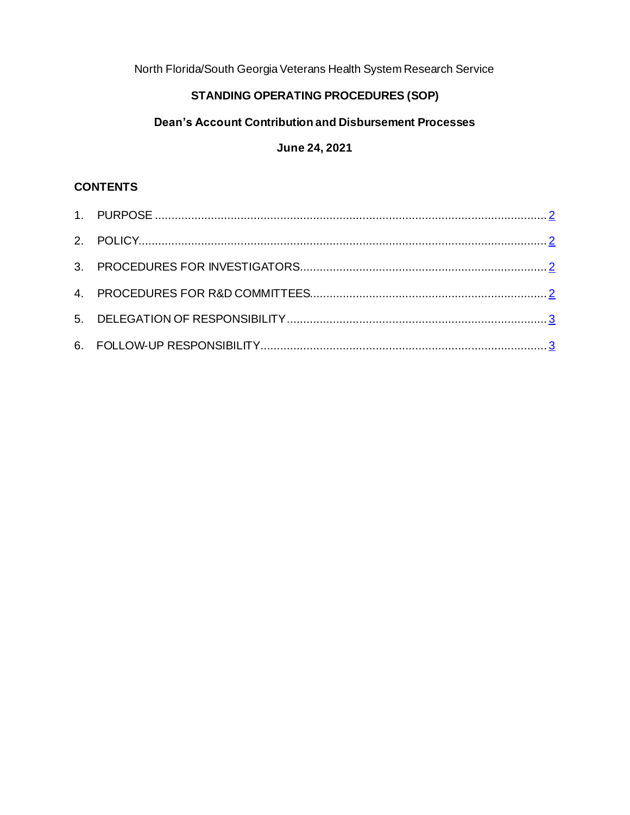North Florida/South Georgia Veterans Health System Research Service

## **STANDING OPERATING PROCEDURES (SOP)**

# **Dean's Account Contribution and Disbursement Processes**

## **June 24, 2021**

## **CONTENTS**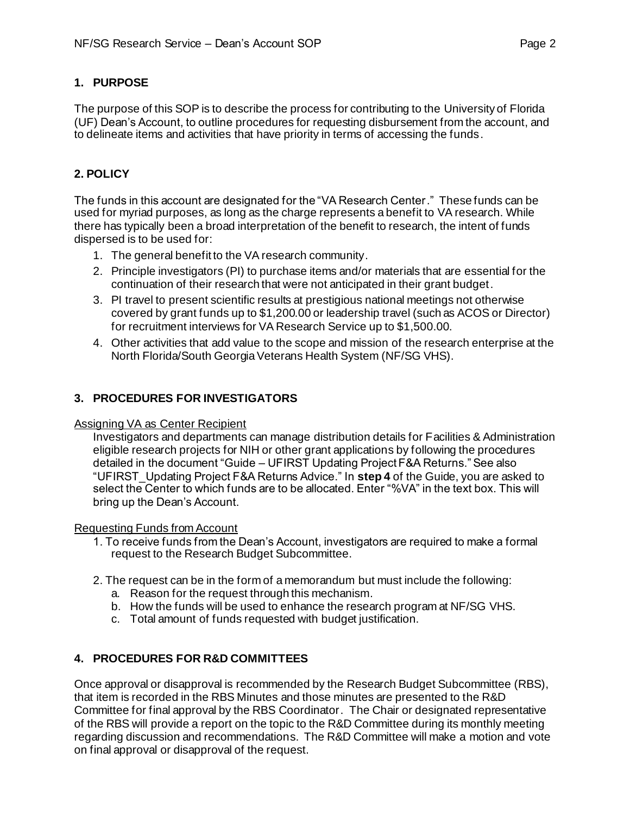### <span id="page-1-0"></span>**1. PURPOSE**

The purpose of this SOP is to describe the process for contributing to the University of Florida (UF) Dean's Account, to outline procedures for requesting disbursement from the account, and to delineate items and activities that have priority in terms of accessing the funds.

### **2. POLICY**

The funds in this account are designated for the "VA Research Center." These funds can be used for myriad purposes, as long as the charge represents a benefit to VA research. While there has typically been a broad interpretation of the benefit to research, the intent of funds dispersed is to be used for:

- 1. The general benefit to the VA research community.
- 2. Principle investigators (PI) to purchase items and/or materials that are essential for the continuation of their research that were not anticipated in their grant budget.
- 3. PI travel to present scientific results at prestigious national meetings not otherwise covered by grant funds up to \$1,200.00 or leadership travel (such as ACOS or Director) for recruitment interviews for VA Research Service up to \$1,500.00.
- 4. Other activities that add value to the scope and mission of the research enterprise at the North Florida/South Georgia Veterans Health System (NF/SG VHS).

#### <span id="page-1-1"></span>**3. PROCEDURES FOR INVESTIGATORS**

#### Assigning VA as Center Recipient

Investigators and departments can manage distribution details for Facilities & Administration eligible research projects for NIH or other grant applications by following the procedures detailed in the document "Guide – UFIRST Updating Project F&A Returns." See also "UFIRST\_Updating Project F&A Returns Advice." In **step 4** of the Guide, you are asked to select the Center to which funds are to be allocated. Enter "%VA" in the text box. This will bring up the Dean's Account.

#### Requesting Funds from Account

- 1. To receive funds from the Dean's Account, investigators are required to make a formal request to the Research Budget Subcommittee.
- <span id="page-1-2"></span>2. The request can be in the form of a memorandum but must include the following:
	- a. Reason for the request through this mechanism.
	- b. How the funds will be used to enhance the research program at NF/SG VHS.
	- c. Total amount of funds requested with budget justification.

#### **4. PROCEDURES FOR R&D COMMITTEES**

Once approval or disapproval is recommended by the Research Budget Subcommittee (RBS), that item is recorded in the RBS Minutes and those minutes are presented to the R&D Committee for final approval by the RBS Coordinator. The Chair or designated representative of the RBS will provide a report on the topic to the R&D Committee during its monthly meeting regarding discussion and recommendations. The R&D Committee will make a motion and vote on final approval or disapproval of the request.